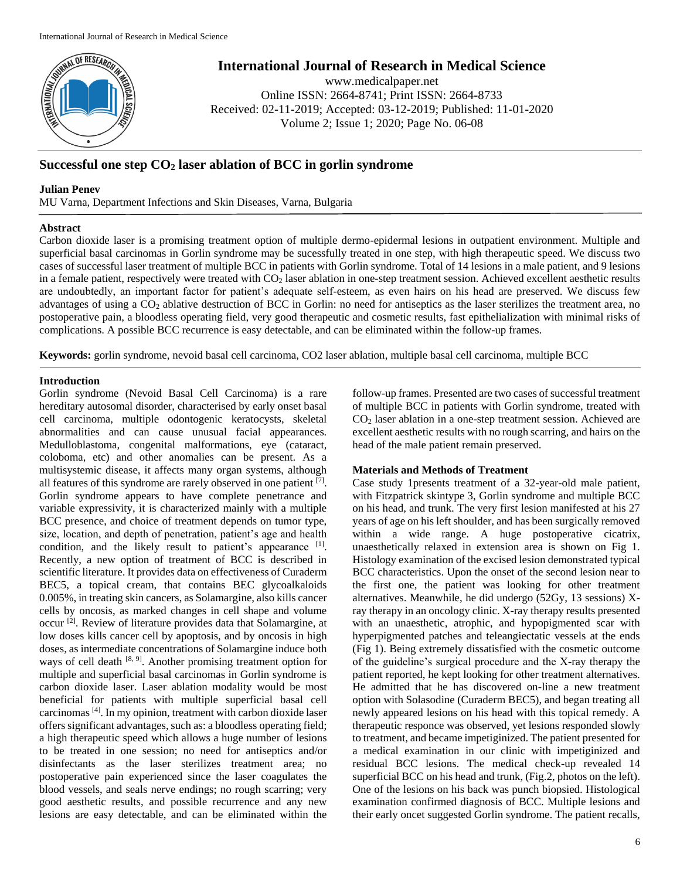

**International Journal of Research in Medical Science**

www.medicalpaper.net Online ISSN: 2664-8741; Print ISSN: 2664-8733 Received: 02-11-2019; Accepted: 03-12-2019; Published: 11-01-2020 Volume 2; Issue 1; 2020; Page No. 06-08

# **Successful one step CO<sup>2</sup> laser ablation of BCC in gorlin syndrome**

## **Julian Penev**

MU Varna, Department Infections and Skin Diseases, Varna, Bulgaria

## **Abstract**

Carbon dioxide laser is a promising treatment option of multiple dermo-epidermal lesions in outpatient environment. Multiple and superficial basal carcinomas in Gorlin syndrome may be sucessfully treated in one step, with high therapeutic speed. We discuss two cases of successful laser treatment of multiple BCC in patients with Gorlin syndrome. Total of 14 lesions in a male patient, and 9 lesions in a female patient, respectively were treated with  $CO<sub>2</sub>$  laser ablation in one-step treatment session. Achieved excellent aesthetic results are undoubtedly, an important factor for patient's adequate self-esteem, as even hairs on his head are preserved. We discuss few advantages of using a  $CO<sub>2</sub>$  ablative destruction of BCC in Gorlin: no need for antiseptics as the laser sterilizes the treatment area, no postoperative pain, a bloodless operating field, very good therapeutic and cosmetic results, fast epithelialization with minimal risks of complications. A possible BCC recurrence is easy detectable, and can be eliminated within the follow-up frames.

**Keywords:** gorlin syndrome, nevoid basal cell carcinoma, CO2 laser ablation, multiple basal cell carcinoma, multiple BCC

# **Introduction**

Gorlin syndrome (Nevoid Basal Cell Carcinoma) is a rare hereditary autosomal disorder, characterised by early onset basal cell carcinoma, multiple odontogenic keratocysts, skeletal abnormalities and can cause unusual facial appearances. Medulloblastoma, congenital malformations, eye (cataract, coloboma, etc) and other anomalies can be present. As a multisystemic disease, it affects many organ systems, although all features of this syndrome are rarely observed in one patient  $[7]$ . Gorlin syndrome appears to have complete penetrance and variable expressivity, it is characterized mainly with a multiple BCC presence, and choice of treatment depends on tumor type, size, location, and depth of penetration, patient's age and health condition, and the likely result to patient's appearance  $[1]$ . Recently, a new option of treatment of BCC is described in scientific literature. It provides data on effectiveness of Curaderm BEC5, a topical cream, that contains BEC glycoalkaloids 0.005%, in treating skin cancers, as Solamargine, also kills cancer cells by oncosis, as marked changes in cell shape and volume occur<sup>[2]</sup>. Review of literature provides data that Solamargine, at low doses kills cancer cell by apoptosis, and by oncosis in high doses, as intermediate concentrations of Solamargine induce both ways of cell death  $[8, 9]$ . Another promising treatment option for multiple and superficial basal carcinomas in Gorlin syndrome is carbon dioxide laser. Laser ablation modality would be most beneficial for patients with multiple superficial basal cell carcinomas [4]. In my opinion, treatment with carbon dioxide laser offers significant advantages, such as: a bloodless operating field; a high therapeutic speed which allows a huge number of lesions to be treated in one session; no need for antiseptics and/or disinfectants as the laser sterilizes treatment area; no postoperative pain experienced since the laser coagulates the blood vessels, and seals nerve endings; no rough scarring; very good aesthetic results, and possible recurrence and any new lesions are easy detectable, and can be eliminated within the

follow-up frames. Presented are two cases of successful treatment of multiple BCC in patients with Gorlin syndrome, treated with CO<sup>2</sup> laser ablation in a one-step treatment session. Achieved are excellent aesthetic results with no rough scarring, and hairs on the head of the male patient remain preserved.

# **Materials and Methods of Treatment**

Case study 1presents treatment of a 32-year-old male patient, with Fitzpatrick skintype 3, Gorlin syndrome and multiple BCC on his head, and trunk. The very first lesion manifested at his 27 years of age on his left shoulder, and has been surgically removed within a wide range. A huge postoperative cicatrix, unaesthetically relaxed in extension area is shown on Fig 1. Histology examination of the excised lesion demonstrated typical BCC characteristics. Upon the onset of the second lesion near to the first one, the patient was looking for other treatment alternatives. Meanwhile, he did undergo (52Gy, 13 sessions) Xray therapy in an oncology clinic. X-ray therapy results presented with an unaesthetic, atrophic, and hypopigmented scar with hyperpigmented patches and teleangiectatic vessels at the ends (Fig 1). Being extremely dissatisfied with the cosmetic outcome of the guideline's surgical procedure and the X-ray therapy the patient reported, he kept looking for other treatment alternatives. He admitted that he has discovered on-line a new treatment option with Solasodine (Curaderm BEC5), and began treating all newly appeared lesions on his head with this topical remedy. A therapeutic responce was observed, yet lesions responded slowly to treatment, and became impetiginized. The patient presented for a medical examination in our clinic with impetiginized and residual BCC lesions. The medical check-up revealed 14 superficial BCC on his head and trunk, (Fig.2, photos on the left). One of the lesions on his back was punch biopsied. Histological examination confirmed diagnosis of BCC. Multiple lesions and their early oncet suggested Gorlin syndrome. The patient recalls,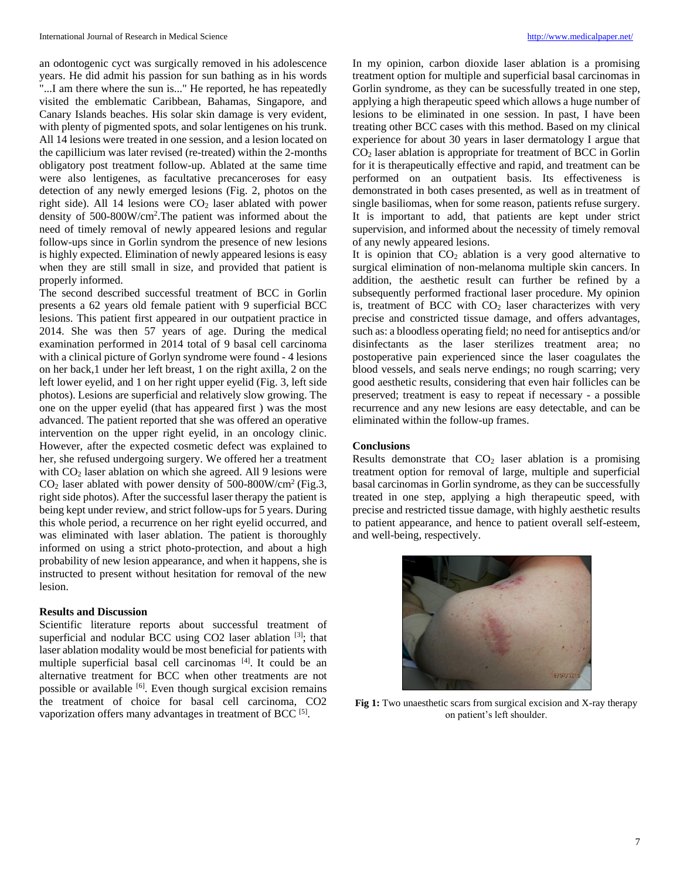an odontogenic cyct was surgically removed in his adolescence years. He did admit his passion for sun bathing as in his words "...I am there where the sun is..." He reported, he has repeatedly visited the emblematic Caribbean, Bahamas, Singapore, and Canary Islands beaches. His solar skin damage is very evident, with plenty of pigmented spots, and solar lentigenes on his trunk. All 14 lesions were treated in one session, and a lesion located on the capillicium was later revised (re-treated) within the 2-months obligatory post treatment follow-up. Ablated at the same time were also lentigenes, as facultative precanceroses for easy detection of any newly emerged lesions (Fig. 2, photos on the right side). All 14 lesions were  $CO<sub>2</sub>$  laser ablated with power density of 500-800W/cm<sup>2</sup> .The patient was informed about the need of timely removal of newly appeared lesions and regular follow-ups since in Gorlin syndrom the presence of new lesions is highly expected. Elimination of newly appeared lesions is easy when they are still small in size, and provided that patient is properly informed.

The second described successful treatment of BCC in Gorlin presents a 62 years old female patient with 9 superficial BCC lesions. This patient first appeared in our outpatient practice in 2014. She was then 57 years of age. During the medical examination performed in 2014 total of 9 basal cell carcinoma with a clinical picture of Gorlyn syndrome were found - 4 lesions on her back,1 under her left breast, 1 on the right axilla, 2 on the left lower eyelid, and 1 on her right upper eyelid (Fig. 3, left side photos). Lesions are superficial and relatively slow growing. The one on the upper eyelid (that has appeared first ) was the most advanced. The patient reported that she was offered an operative intervention on the upper right eyelid, in an oncology clinic. However, after the expected cosmetic defect was explained to her, she refused undergoing surgery. We offered her a treatment with  $CO<sub>2</sub>$  laser ablation on which she agreed. All 9 lesions were  $CO<sub>2</sub>$  laser ablated with power density of 500-800W/cm<sup>2</sup> (Fig.3, right side photos). After the successful laser therapy the patient is being kept under review, and strict follow-ups for 5 years. During this whole period, a recurrence on her right eyelid occurred, and was eliminated with laser ablation. The patient is thoroughly informed on using a strict photo-protection, and about a high probability of new lesion appearance, and when it happens, she is instructed to present without hesitation for removal of the new lesion.

#### **Results and Discussion**

Scientific literature reports about successful treatment of superficial and nodular BCC using CO2 laser ablation [3]; that laser ablation modality would be most beneficial for patients with multiple superficial basal cell carcinomas [4]. It could be an alternative treatment for BCC when other treatments are not possible or available [6]. Even though surgical excision remains the treatment of choice for basal cell carcinoma, CO2 vaporization offers many advantages in treatment of BCC  $[5]$ .

In my opinion, carbon dioxide laser ablation is a promising treatment option for multiple and superficial basal carcinomas in Gorlin syndrome, as they can be sucessfully treated in one step, applying a high therapeutic speed which allows a huge number of lesions to be eliminated in one session. In past, I have been treating other BCC cases with this method. Based on my clinical experience for about 30 years in laser dermatology I argue that  $CO<sub>2</sub>$  laser ablation is appropriate for treatment of BCC in Gorlin for it is therapeutically effective and rapid, and treatment can be performed on an outpatient basis. Its effectiveness is demonstrated in both cases presented, as well as in treatment of single basiliomas, when for some reason, patients refuse surgery. It is important to add, that patients are kept under strict supervision, and informed about the necessity of timely removal of any newly appeared lesions.

It is opinion that  $CO<sub>2</sub>$  ablation is a very good alternative to surgical elimination of non-melanoma multiple skin cancers. In addition, the aesthetic result can further be refined by a subsequently performed fractional laser procedure. My opinion is, treatment of BCC with  $CO<sub>2</sub>$  laser characterizes with very precise and constricted tissue damage, and offers advantages, such as: a bloodless operating field; no need for antiseptics and/or disinfectants as the laser sterilizes treatment area; no postoperative pain experienced since the laser coagulates the blood vessels, and seals nerve endings; no rough scarring; very good aesthetic results, considering that even hair follicles can be preserved; treatment is easy to repeat if necessary - a possible recurrence and any new lesions are easy detectable, and can be eliminated within the follow-up frames.

## **Conclusions**

Results demonstrate that  $CO<sub>2</sub>$  laser ablation is a promising treatment option for removal of large, multiple and superficial basal carcinomas in Gorlin syndrome, as they can be successfully treated in one step, applying a high therapeutic speed, with precise and restricted tissue damage, with highly aesthetic results to patient appearance, and hence to patient overall self-esteem, and well-being, respectively.



**Fig 1:** Two unaesthetic scars from surgical excision and X-ray therapy on patient's left shoulder.